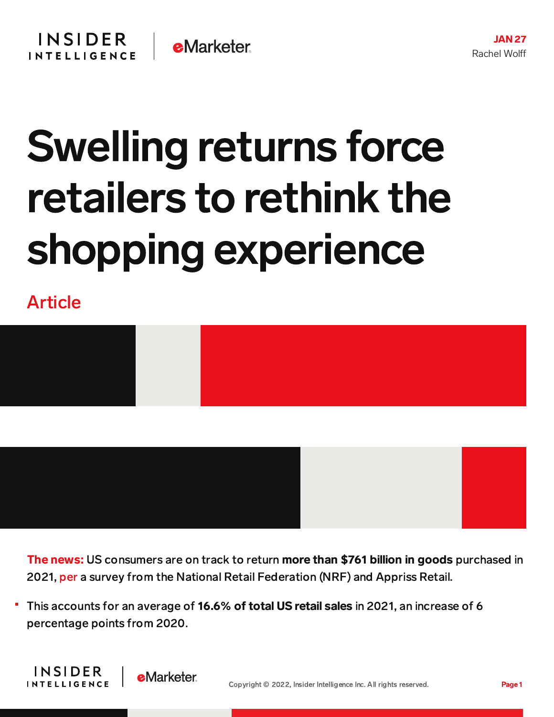## Swelling returns force retailers to rethink the shopping experience

Article



The news: US consumers are on track to return more than \$761 billion in goods purchased in 2021, [per](https://nrf.com/media-center/press-releases/retail-returns-increased-761-billion-2021-result-overall-sales-growth) a survey from the National Retail Federation (NRF) and Appriss Retail.

This accounts for an average of 16.6% of total US retail sales in 2021, an increase of 6 percentage points from 2020.

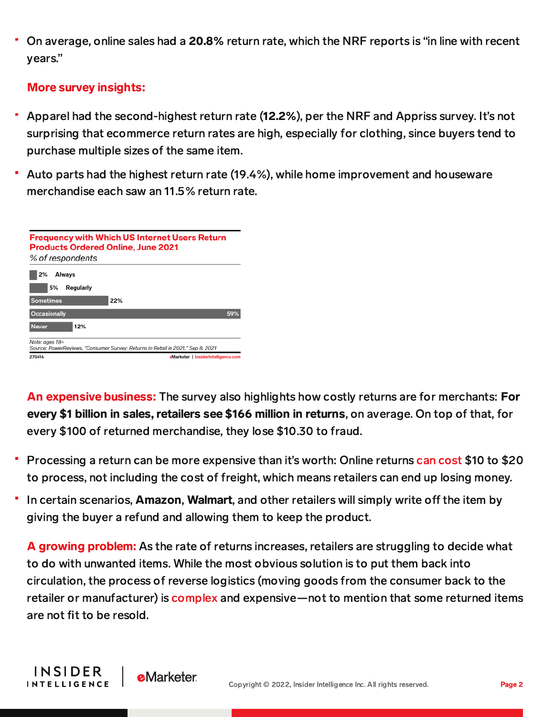On average, online sales had a 20.8% return rate, which the NRF reports is "in line with recent years."

## More survey insights:

**INSIDER** 

**INTELLIGENCE** 

**e**Marketer

- Apparel had the second-highest return rate (12.2%), per the NRF and Appriss survey. It's not surprising that ecommerce return rates are high, especially for clothing, since buyers tend to purchase multiple sizes of the same item.
- Auto parts had the highest return rate (19.4%), while home improvement and houseware merchandise each saw an 11.5% return rate.

| <b>Products Ordered Online, June 2021</b><br>% of respondents | <b>Frequency with Which US Internet Users Return</b>                            |     |
|---------------------------------------------------------------|---------------------------------------------------------------------------------|-----|
| 2%<br>Always<br>5%<br>Regularly                               |                                                                                 |     |
| <b>Sometimes</b>                                              | 22%                                                                             |     |
| Occasionally                                                  |                                                                                 | 59% |
| <b>Never</b><br>12%                                           |                                                                                 |     |
| Note: ages 18+                                                | Source: PowerReviews, "Consumer Survey: Returns in Retail in 2021," Sep 8, 2021 |     |
| 270414                                                        | eMarketer   InsiderIntelligence.com                                             |     |

An expensive business: The survey also highlights how costly returns are for merchants: For every \$1 billion in sales, retailers see \$166 million in returns, on average. On top of that, for every \$100 of returned merchandise, they lose \$10.30 to fraud.

- Processing a return can be more expensive than it's worth: Online returns can [cost](https://www.wsj.com/articles/amazon-walmart-tell-consumers-to-skip-returns-of-unwanted-items-11610274600) \$10 to \$20 to process, not including the cost of freight, which means retailers can end up losing money.
- In certain scenarios, Amazon, Walmart, and other retailers will simply write off the item by giving the buyer a refund and allowing them to keep the product.

A growing problem: As the rate of returns increases, retailers are struggling to decide what to do with unwanted items. While the most obvious solution is to put them back into circulation, the process of reverse logistics (moving goods from the consumer back to the retailer or manufacturer) is [complex](https://www.theatlantic.com/magazine/archive/2021/11/free-returns-online-shopping/620169/) and expensive—not to mention that some returned items are not fit to be resold.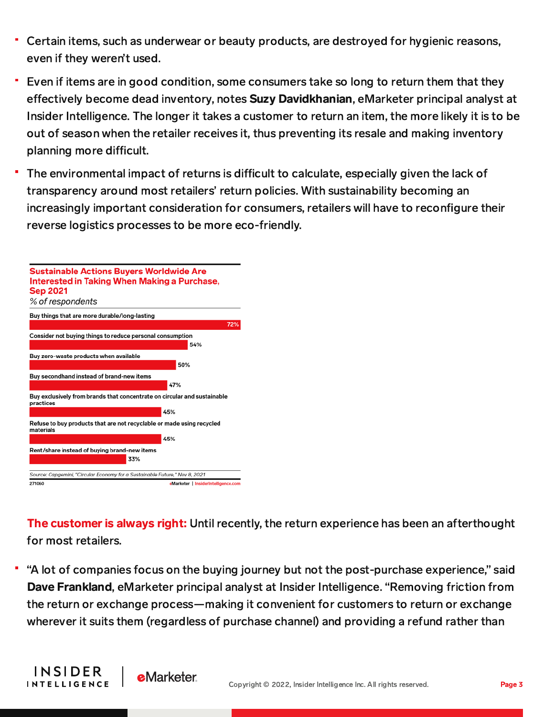- Certain items, such as underwear or beauty products, are destroyed for hygienic reasons, even if they weren't used.
- Even if items are in good condition, some consumers take so long to return them that they effectively become dead inventory, notes **Suzy Davidkhanian**, eMarketer principal analyst at Insider Intelligence. The longer it takes a customer to return an item, the more likely it is to be out of season when the retailer receives it, thus preventing its resale and making inventory planning more difficult.
- The environmental impact of returns is difficult to calculate, especially given the lack of transparency around most retailers' return policies. With sustainability becoming an increasingly important consideration for consumers, retailers will have to reconfigure their reverse logistics processes to be more eco-friendly.



The customer is always right: Until recently, the return experience has been an afterthought for most retailers.

"A lot of companies focus on the buying journey but not the post-purchase experience," said Dave Frankland, eMarketer principal analyst at Insider Intelligence. "Removing friction from the return or exchange process—making it convenient for customers to return or exchange wherever it suits them (regardless of purchase channel) and providing a refund rather than